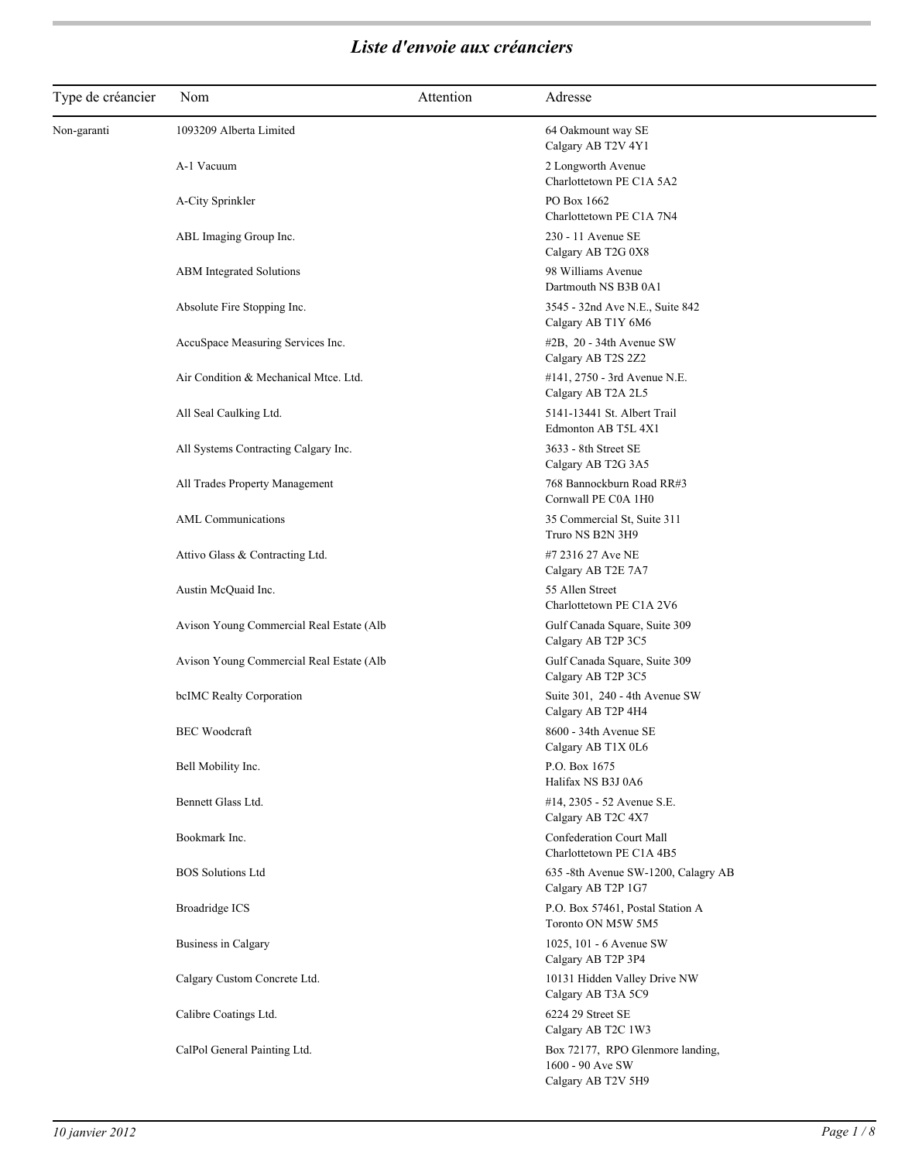| Type de créancier | Nom                                                            | Attention | Adresse                                                                                          |
|-------------------|----------------------------------------------------------------|-----------|--------------------------------------------------------------------------------------------------|
| Non-garanti       | 1093209 Alberta Limited                                        |           | 64 Oakmount way SE<br>Calgary AB T2V 4Y1                                                         |
|                   | A-1 Vacuum                                                     |           | 2 Longworth Avenue<br>Charlottetown PE C1A 5A2                                                   |
|                   | A-City Sprinkler                                               |           | PO Box 1662<br>Charlottetown PE C1A 7N4                                                          |
|                   | ABL Imaging Group Inc.                                         |           | 230 - 11 Avenue SE<br>Calgary AB T2G 0X8                                                         |
|                   | ABM Integrated Solutions                                       |           | 98 Williams Avenue<br>Dartmouth NS B3B 0A1                                                       |
|                   | Absolute Fire Stopping Inc.                                    |           | 3545 - 32nd Ave N.E., Suite 842<br>Calgary AB T1Y 6M6                                            |
|                   | AccuSpace Measuring Services Inc.                              |           | $#2B$ , 20 - 34th Avenue SW<br>Calgary AB T2S 2Z2                                                |
|                   | Air Condition & Mechanical Mtce. Ltd.                          |           | #141, 2750 - 3rd Avenue N.E.<br>Calgary AB T2A 2L5                                               |
|                   | All Seal Caulking Ltd.<br>All Systems Contracting Calgary Inc. |           | 5141-13441 St. Albert Trail<br>Edmonton AB T5L 4X1<br>3633 - 8th Street SE                       |
|                   | All Trades Property Management                                 |           | Calgary AB T2G 3A5<br>768 Bannockburn Road RR#3                                                  |
|                   | <b>AML</b> Communications                                      |           | Cornwall PE C0A 1H0<br>35 Commercial St, Suite 311                                               |
|                   | Attivo Glass & Contracting Ltd.                                |           | Truro NS B2N 3H9<br>#7 2316 27 Ave NE                                                            |
|                   | Austin McQuaid Inc.                                            |           | Calgary AB T2E 7A7<br>55 Allen Street                                                            |
|                   | Avison Young Commercial Real Estate (Alb                       |           | Charlottetown PE C1A 2V6<br>Gulf Canada Square, Suite 309                                        |
|                   | Avison Young Commercial Real Estate (Alb                       |           | Calgary AB T2P 3C5<br>Gulf Canada Square, Suite 309                                              |
|                   | bcIMC Realty Corporation                                       |           | Calgary AB T2P 3C5<br>Suite 301, 240 - 4th Avenue SW                                             |
|                   | <b>BEC</b> Woodcraft                                           |           | Calgary AB T2P 4H4<br>8600 - 34th Avenue SE                                                      |
|                   | Bell Mobility Inc.                                             |           | Calgary AB T1X 0L6<br>P.O. Box 1675                                                              |
|                   | Bennett Glass Ltd.                                             |           | Halifax NS B3J 0A6<br>#14, 2305 - 52 Avenue S.E.                                                 |
|                   | Bookmark Inc.                                                  |           | Calgary AB T2C 4X7<br>Confederation Court Mall                                                   |
|                   | <b>BOS</b> Solutions Ltd                                       |           | Charlottetown PE C1A 4B5<br>635 -8th Avenue SW-1200, Calagry AB                                  |
|                   | <b>Broadridge ICS</b>                                          |           | Calgary AB T2P 1G7<br>P.O. Box 57461, Postal Station A                                           |
|                   | Business in Calgary                                            |           | Toronto ON M5W 5M5<br>1025, 101 - 6 Avenue SW                                                    |
|                   | Calgary Custom Concrete Ltd.                                   |           | Calgary AB T2P 3P4<br>10131 Hidden Valley Drive NW                                               |
|                   | Calibre Coatings Ltd.                                          |           | Calgary AB T3A 5C9<br>6224 29 Street SE                                                          |
|                   | CalPol General Painting Ltd.                                   |           | Calgary AB T2C 1W3<br>Box 72177, RPO Glenmore landing,<br>1600 - 90 Ave SW<br>Calgary AB T2V 5H9 |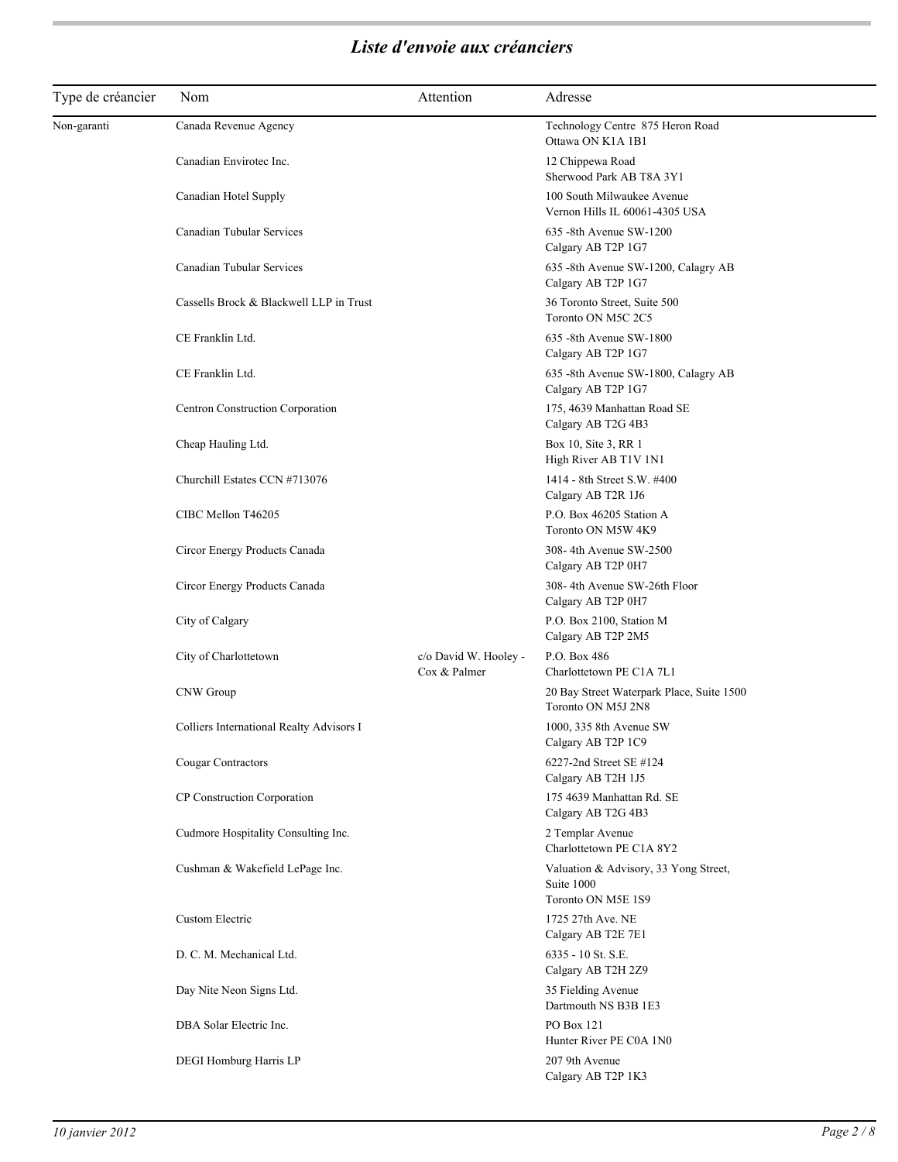| Type de créancier | Nom                                      | Attention                             | Adresse                                                                   |
|-------------------|------------------------------------------|---------------------------------------|---------------------------------------------------------------------------|
| Non-garanti       | Canada Revenue Agency                    |                                       | Technology Centre 875 Heron Road<br>Ottawa ON K1A 1B1                     |
|                   | Canadian Envirotec Inc.                  |                                       | 12 Chippewa Road                                                          |
|                   |                                          |                                       | Sherwood Park AB T8A 3Y1                                                  |
|                   | Canadian Hotel Supply                    |                                       | 100 South Milwaukee Avenue<br>Vernon Hills IL 60061-4305 USA              |
|                   | Canadian Tubular Services                |                                       | 635 -8th Avenue SW-1200<br>Calgary AB T2P 1G7                             |
|                   | Canadian Tubular Services                |                                       | 635 -8th Avenue SW-1200, Calagry AB<br>Calgary AB T2P 1G7                 |
|                   | Cassells Brock & Blackwell LLP in Trust  |                                       | 36 Toronto Street, Suite 500<br>Toronto ON M5C 2C5                        |
|                   | CE Franklin Ltd.                         |                                       | 635 -8th Avenue SW-1800<br>Calgary AB T2P 1G7                             |
|                   | CE Franklin Ltd.                         |                                       | 635 -8th Avenue SW-1800, Calagry AB<br>Calgary AB T2P 1G7                 |
|                   | Centron Construction Corporation         |                                       | 175, 4639 Manhattan Road SE<br>Calgary AB T2G 4B3                         |
|                   | Cheap Hauling Ltd.                       |                                       | Box 10, Site 3, RR 1<br>High River AB T1V 1N1                             |
|                   | Churchill Estates CCN #713076            |                                       | 1414 - 8th Street S.W. #400<br>Calgary AB T2R 1J6                         |
|                   | CIBC Mellon T46205                       |                                       | P.O. Box 46205 Station A<br>Toronto ON M5W 4K9                            |
|                   | Circor Energy Products Canada            |                                       | 308-4th Avenue SW-2500<br>Calgary AB T2P 0H7                              |
|                   | Circor Energy Products Canada            |                                       | 308-4th Avenue SW-26th Floor<br>Calgary AB T2P 0H7                        |
|                   | City of Calgary                          |                                       | P.O. Box 2100, Station M<br>Calgary AB T2P 2M5                            |
|                   | City of Charlottetown                    | c/o David W. Hooley -<br>Cox & Palmer | P.O. Box 486<br>Charlottetown PE C1A 7L1                                  |
|                   | CNW Group                                |                                       | 20 Bay Street Waterpark Place, Suite 1500<br>Toronto ON M5J 2N8           |
|                   | Colliers International Realty Advisors I |                                       | 1000, 335 8th Avenue SW<br>Calgary AB T2P 1C9                             |
|                   | Cougar Contractors                       |                                       | 6227-2nd Street SE #124<br>Calgary AB T2H 1J5                             |
|                   | CP Construction Corporation              |                                       | 175 4639 Manhattan Rd. SE<br>Calgary AB T2G 4B3                           |
|                   | Cudmore Hospitality Consulting Inc.      |                                       | 2 Templar Avenue<br>Charlottetown PE C1A 8Y2                              |
|                   | Cushman & Wakefield LePage Inc.          |                                       | Valuation & Advisory, 33 Yong Street,<br>Suite 1000<br>Toronto ON M5E 1S9 |
|                   | Custom Electric                          |                                       | 1725 27th Ave. NE<br>Calgary AB T2E 7E1                                   |
|                   | D. C. M. Mechanical Ltd.                 |                                       | 6335 - 10 St. S.E.<br>Calgary AB T2H 2Z9                                  |
|                   | Day Nite Neon Signs Ltd.                 |                                       | 35 Fielding Avenue<br>Dartmouth NS B3B 1E3                                |
|                   | DBA Solar Electric Inc.                  |                                       | PO Box 121<br>Hunter River PE C0A 1N0                                     |
|                   | DEGI Homburg Harris LP                   |                                       | 207 9th Avenue<br>Calgary AB T2P 1K3                                      |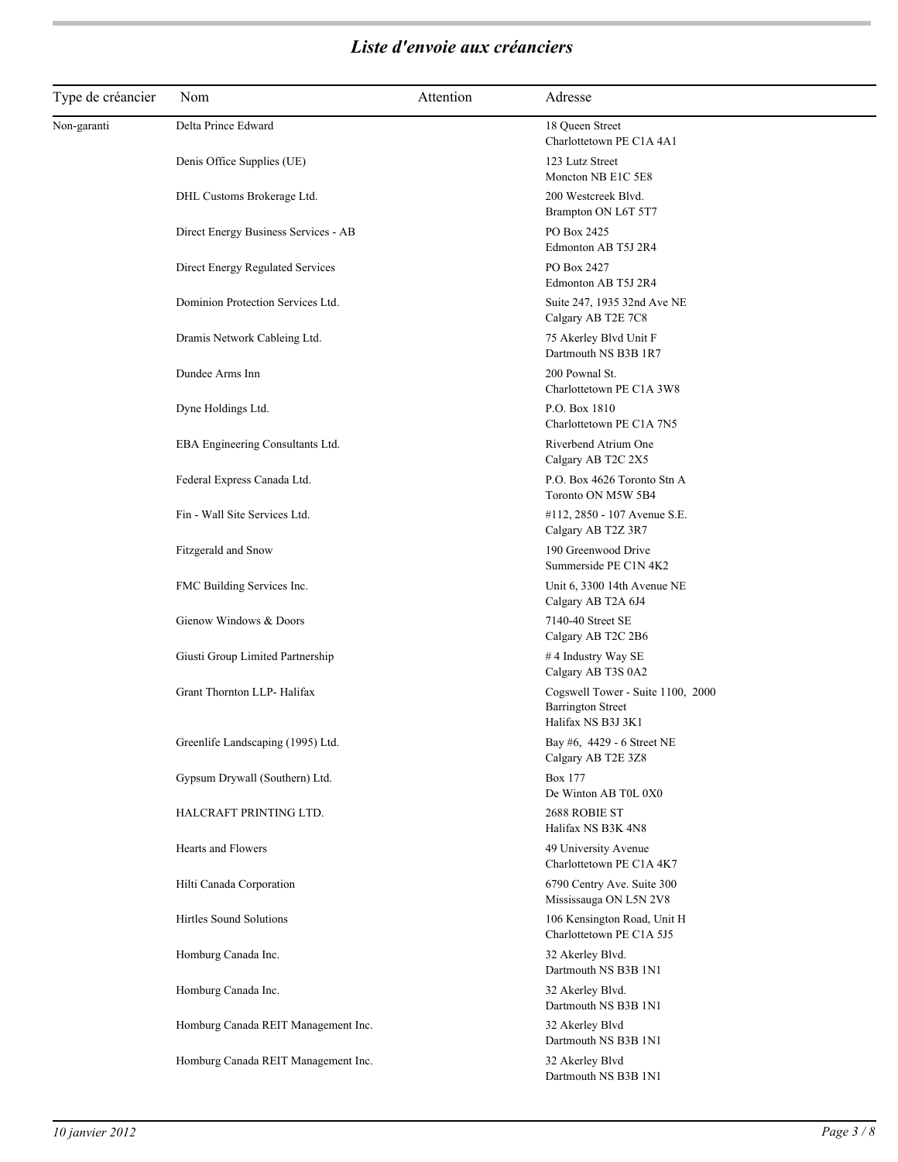| Type de créancier | Nom                                  | Attention | Adresse                                                                             |
|-------------------|--------------------------------------|-----------|-------------------------------------------------------------------------------------|
| Non-garanti       | Delta Prince Edward                  |           | 18 Queen Street<br>Charlottetown PE C1A 4A1                                         |
|                   | Denis Office Supplies (UE)           |           | 123 Lutz Street<br>Moncton NB E1C 5E8                                               |
|                   | DHL Customs Brokerage Ltd.           |           | 200 Westcreek Blvd.<br>Brampton ON L6T 5T7                                          |
|                   | Direct Energy Business Services - AB |           | PO Box 2425<br>Edmonton AB T5J 2R4                                                  |
|                   | Direct Energy Regulated Services     |           | PO Box 2427<br>Edmonton AB T5J 2R4                                                  |
|                   | Dominion Protection Services Ltd.    |           | Suite 247, 1935 32nd Ave NE<br>Calgary AB T2E 7C8                                   |
|                   | Dramis Network Cableing Ltd.         |           | 75 Akerley Blvd Unit F<br>Dartmouth NS B3B 1R7                                      |
|                   | Dundee Arms Inn                      |           | 200 Pownal St.<br>Charlottetown PE C1A 3W8                                          |
|                   | Dyne Holdings Ltd.                   |           | P.O. Box 1810<br>Charlottetown PE C1A 7N5                                           |
|                   | EBA Engineering Consultants Ltd.     |           | Riverbend Atrium One<br>Calgary AB T2C 2X5                                          |
|                   | Federal Express Canada Ltd.          |           | P.O. Box 4626 Toronto Stn A<br>Toronto ON M5W 5B4                                   |
|                   | Fin - Wall Site Services Ltd.        |           | #112, 2850 - 107 Avenue S.E.<br>Calgary AB T2Z 3R7                                  |
|                   | Fitzgerald and Snow                  |           | 190 Greenwood Drive<br>Summerside PE C1N 4K2                                        |
|                   | FMC Building Services Inc.           |           | Unit 6, 3300 14th Avenue NE<br>Calgary AB T2A 6J4                                   |
|                   | Gienow Windows & Doors               |           | 7140-40 Street SE<br>Calgary AB T2C 2B6                                             |
|                   | Giusti Group Limited Partnership     |           | #4 Industry Way SE<br>Calgary AB T3S 0A2                                            |
|                   | Grant Thornton LLP- Halifax          |           | Cogswell Tower - Suite 1100, 2000<br><b>Barrington Street</b><br>Halifax NS B3J 3K1 |
|                   | Greenlife Landscaping (1995) Ltd.    |           | Bay #6, 4429 - 6 Street NE<br>Calgary AB T2E 3Z8                                    |
|                   | Gypsum Drywall (Southern) Ltd.       |           | <b>Box 177</b><br>De Winton AB T0L 0X0                                              |
|                   | HALCRAFT PRINTING LTD.               |           | 2688 ROBIE ST<br>Halifax NS B3K 4N8                                                 |
|                   | <b>Hearts and Flowers</b>            |           | 49 University Avenue<br>Charlottetown PE C1A 4K7                                    |
|                   | Hilti Canada Corporation             |           | 6790 Centry Ave. Suite 300<br>Mississauga ON L5N 2V8                                |
|                   | Hirtles Sound Solutions              |           | 106 Kensington Road, Unit H<br>Charlottetown PE C1A 5J5                             |
|                   | Homburg Canada Inc.                  |           | 32 Akerley Blvd.<br>Dartmouth NS B3B 1N1                                            |
|                   | Homburg Canada Inc.                  |           | 32 Akerley Blvd.<br>Dartmouth NS B3B 1N1                                            |
|                   | Homburg Canada REIT Management Inc.  |           | 32 Akerley Blvd<br>Dartmouth NS B3B 1N1                                             |
|                   | Homburg Canada REIT Management Inc.  |           | 32 Akerley Blvd<br>Dartmouth NS B3B 1N1                                             |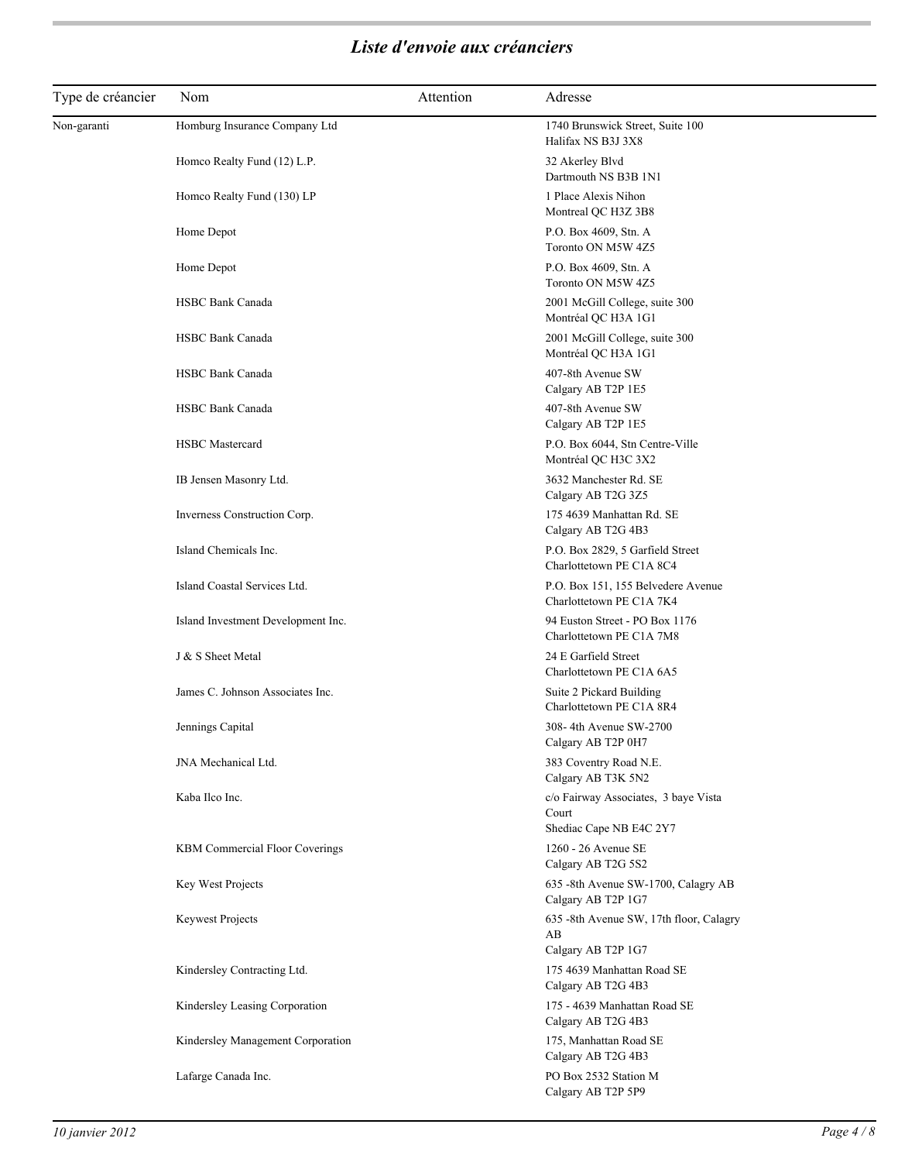| Type de créancier | Nom                                | Attention | Adresse                                                                  |
|-------------------|------------------------------------|-----------|--------------------------------------------------------------------------|
| Non-garanti       | Homburg Insurance Company Ltd      |           | 1740 Brunswick Street, Suite 100<br>Halifax NS B3J 3X8                   |
|                   | Homco Realty Fund (12) L.P.        |           | 32 Akerley Blvd<br>Dartmouth NS B3B 1N1                                  |
|                   | Homco Realty Fund (130) LP         |           | 1 Place Alexis Nihon<br>Montreal QC H3Z 3B8                              |
|                   | Home Depot                         |           | P.O. Box 4609, Stn. A<br>Toronto ON M5W 4Z5                              |
|                   | Home Depot                         |           | P.O. Box 4609, Stn. A<br>Toronto ON M5W 4Z5                              |
|                   | HSBC Bank Canada                   |           | 2001 McGill College, suite 300<br>Montréal QC H3A 1G1                    |
|                   | <b>HSBC Bank Canada</b>            |           | 2001 McGill College, suite 300<br>Montréal QC H3A 1G1                    |
|                   | <b>HSBC Bank Canada</b>            |           | 407-8th Avenue SW<br>Calgary AB T2P 1E5                                  |
|                   | <b>HSBC Bank Canada</b>            |           | 407-8th Avenue SW<br>Calgary AB T2P 1E5                                  |
|                   | <b>HSBC</b> Mastercard             |           | P.O. Box 6044, Stn Centre-Ville<br>Montréal QC H3C 3X2                   |
|                   | IB Jensen Masonry Ltd.             |           | 3632 Manchester Rd. SE<br>Calgary AB T2G 3Z5                             |
|                   | Inverness Construction Corp.       |           | 175 4639 Manhattan Rd. SE<br>Calgary AB T2G 4B3                          |
|                   | Island Chemicals Inc.              |           | P.O. Box 2829, 5 Garfield Street<br>Charlottetown PE C1A 8C4             |
|                   | Island Coastal Services Ltd.       |           | P.O. Box 151, 155 Belvedere Avenue<br>Charlottetown PE C1A 7K4           |
|                   | Island Investment Development Inc. |           | 94 Euston Street - PO Box 1176<br>Charlottetown PE C1A 7M8               |
|                   | J & S Sheet Metal                  |           | 24 E Garfield Street<br>Charlottetown PE C1A 6A5                         |
|                   | James C. Johnson Associates Inc.   |           | Suite 2 Pickard Building<br>Charlottetown PE C1A 8R4                     |
|                   | Jennings Capital                   |           | 308-4th Avenue SW-2700<br>Calgary AB T2P 0H7                             |
|                   | JNA Mechanical Ltd.                |           | 383 Coventry Road N.E.<br>Calgary AB T3K 5N2                             |
|                   | Kaba Ilco Inc.                     |           | c/o Fairway Associates, 3 baye Vista<br>Court<br>Shediac Cape NB E4C 2Y7 |
|                   | KBM Commercial Floor Coverings     |           | 1260 - 26 Avenue SE<br>Calgary AB T2G 5S2                                |
|                   | Key West Projects                  |           | 635 -8th Avenue SW-1700, Calagry AB<br>Calgary AB T2P 1G7                |
|                   | <b>Keywest Projects</b>            |           | 635 -8th Avenue SW, 17th floor, Calagry<br>AB                            |
|                   | Kindersley Contracting Ltd.        |           | Calgary AB T2P 1G7<br>175 4639 Manhattan Road SE<br>Calgary AB T2G 4B3   |
|                   | Kindersley Leasing Corporation     |           | 175 - 4639 Manhattan Road SE<br>Calgary AB T2G 4B3                       |
|                   | Kindersley Management Corporation  |           | 175, Manhattan Road SE<br>Calgary AB T2G 4B3                             |
|                   | Lafarge Canada Inc.                |           | PO Box 2532 Station M<br>Calgary AB T2P 5P9                              |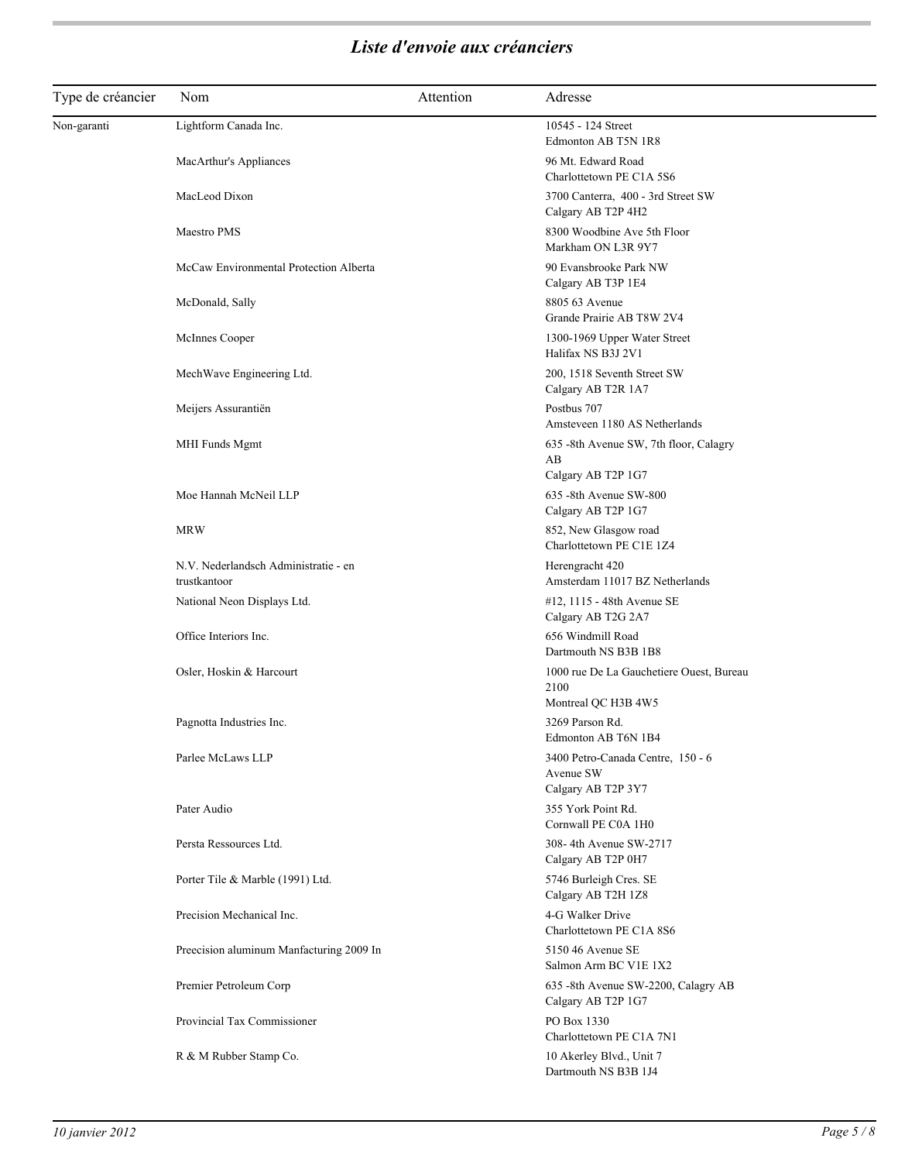| Type de créancier | Nom                                                  | Attention | Adresse                                                                 |
|-------------------|------------------------------------------------------|-----------|-------------------------------------------------------------------------|
| Non-garanti       | Lightform Canada Inc.                                |           | 10545 - 124 Street<br>Edmonton AB T5N 1R8                               |
|                   | MacArthur's Appliances                               |           | 96 Mt. Edward Road<br>Charlottetown PE C1A 5S6                          |
|                   | MacLeod Dixon                                        |           | 3700 Canterra, 400 - 3rd Street SW<br>Calgary AB T2P 4H2                |
|                   | Maestro PMS                                          |           | 8300 Woodbine Ave 5th Floor<br>Markham ON L3R 9Y7                       |
|                   | McCaw Environmental Protection Alberta               |           | 90 Evansbrooke Park NW<br>Calgary AB T3P 1E4                            |
|                   | McDonald, Sally                                      |           | 8805 63 Avenue<br>Grande Prairie AB T8W 2V4                             |
|                   | McInnes Cooper                                       |           | 1300-1969 Upper Water Street<br>Halifax NS B3J 2V1                      |
|                   | MechWave Engineering Ltd.                            |           | 200, 1518 Seventh Street SW<br>Calgary AB T2R 1A7                       |
|                   | Meijers Assurantiën                                  |           | Postbus 707<br>Amsteveen 1180 AS Netherlands                            |
|                   | MHI Funds Mgmt                                       |           | 635 -8th Avenue SW, 7th floor, Calagry<br>AB<br>Calgary AB T2P 1G7      |
|                   | Moe Hannah McNeil LLP                                |           | 635 -8th Avenue SW-800<br>Calgary AB T2P 1G7                            |
|                   | <b>MRW</b>                                           |           | 852, New Glasgow road<br>Charlottetown PE C1E 1Z4                       |
|                   | N.V. Nederlandsch Administratie - en<br>trustkantoor |           | Herengracht 420<br>Amsterdam 11017 BZ Netherlands                       |
|                   | National Neon Displays Ltd.                          |           | #12, 1115 - 48th Avenue SE<br>Calgary AB T2G 2A7                        |
|                   | Office Interiors Inc.                                |           | 656 Windmill Road<br>Dartmouth NS B3B 1B8                               |
|                   | Osler, Hoskin & Harcourt                             |           | 1000 rue De La Gauchetiere Ouest, Bureau<br>2100<br>Montreal QC H3B 4W5 |
|                   | Pagnotta Industries Inc.                             |           | 3269 Parson Rd.<br>Edmonton AB T6N 1B4                                  |
|                   | Parlee McLaws LLP                                    |           | 3400 Petro-Canada Centre, 150 - 6<br>Avenue SW<br>Calgary AB T2P 3Y7    |
|                   | Pater Audio                                          |           | 355 York Point Rd.<br>Cornwall PE C0A 1H0                               |
|                   | Persta Ressources Ltd.                               |           | 308-4th Avenue SW-2717<br>Calgary AB T2P 0H7                            |
|                   | Porter Tile & Marble (1991) Ltd.                     |           | 5746 Burleigh Cres. SE<br>Calgary AB T2H 1Z8                            |
|                   | Precision Mechanical Inc.                            |           | 4-G Walker Drive<br>Charlottetown PE C1A 8S6                            |
|                   | Preecision aluminum Manfacturing 2009 In             |           | 5150 46 Avenue SE<br>Salmon Arm BC V1E 1X2                              |
|                   | Premier Petroleum Corp                               |           | 635 -8th Avenue SW-2200, Calagry AB<br>Calgary AB T2P 1G7               |
|                   | Provincial Tax Commissioner                          |           | PO Box 1330<br>Charlottetown PE C1A 7N1                                 |
|                   | R & M Rubber Stamp Co.                               |           | 10 Akerley Blvd., Unit 7<br>Dartmouth NS B3B 1J4                        |
|                   |                                                      |           |                                                                         |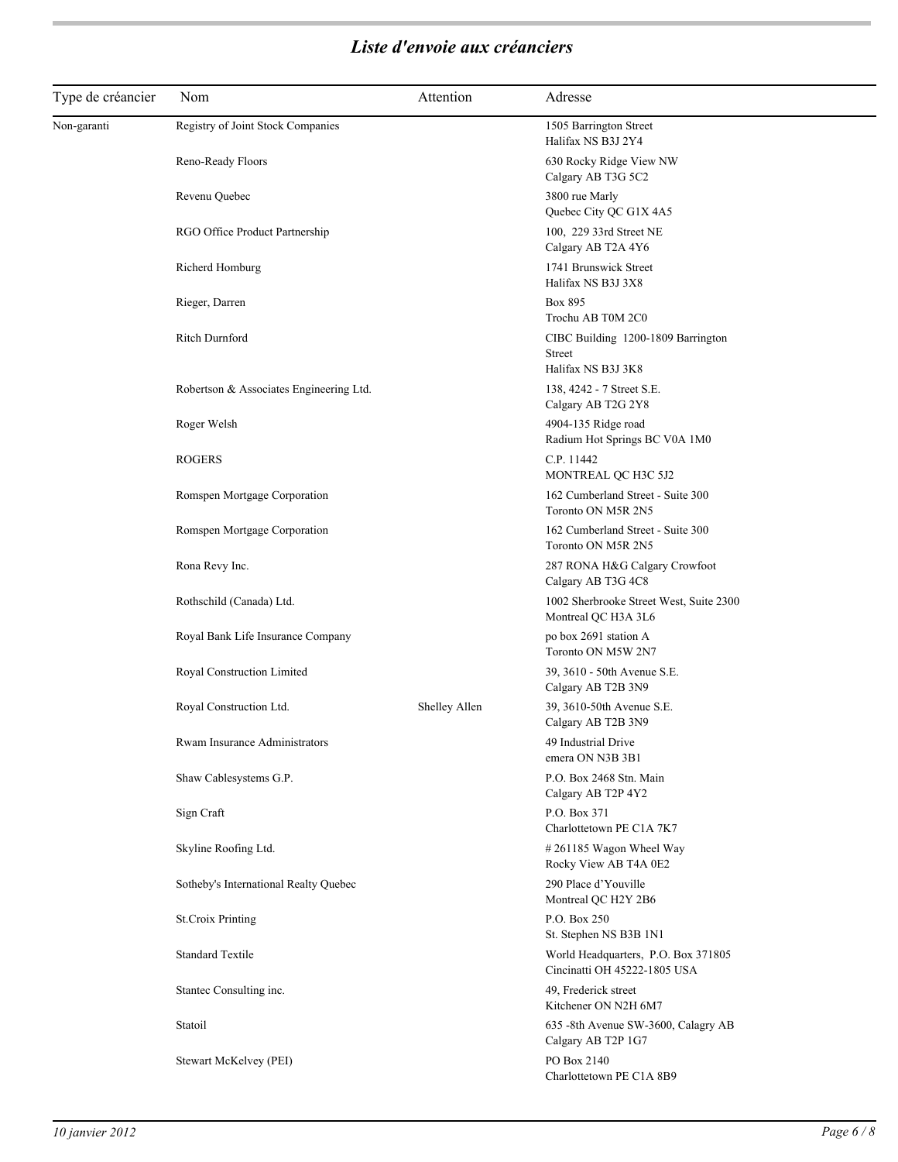| Type de créancier | Nom                                     | Attention     | Adresse                                                             |
|-------------------|-----------------------------------------|---------------|---------------------------------------------------------------------|
| Non-garanti       | Registry of Joint Stock Companies       |               | 1505 Barrington Street<br>Halifax NS B3J 2Y4                        |
|                   | Reno-Ready Floors                       |               | 630 Rocky Ridge View NW<br>Calgary AB T3G 5C2                       |
|                   | Revenu Quebec                           |               | 3800 rue Marly<br>Quebec City QC G1X 4A5                            |
|                   | RGO Office Product Partnership          |               | 100, 229 33rd Street NE<br>Calgary AB T2A 4Y6                       |
|                   | Richerd Homburg                         |               | 1741 Brunswick Street<br>Halifax NS B3J 3X8                         |
|                   | Rieger, Darren                          |               | Box 895<br>Trochu AB T0M 2C0                                        |
|                   | Ritch Durnford                          |               | CIBC Building 1200-1809 Barrington<br>Street<br>Halifax NS B3J 3K8  |
|                   | Robertson & Associates Engineering Ltd. |               | 138, 4242 - 7 Street S.E.<br>Calgary AB T2G 2Y8                     |
|                   | Roger Welsh                             |               | 4904-135 Ridge road<br>Radium Hot Springs BC V0A 1M0                |
|                   | <b>ROGERS</b>                           |               | C.P. 11442<br>MONTREAL QC H3C 5J2                                   |
|                   | Romspen Mortgage Corporation            |               | 162 Cumberland Street - Suite 300<br>Toronto ON M5R 2N5             |
|                   | Romspen Mortgage Corporation            |               | 162 Cumberland Street - Suite 300<br>Toronto ON M5R 2N5             |
|                   | Rona Revy Inc.                          |               | 287 RONA H&G Calgary Crowfoot<br>Calgary AB T3G 4C8                 |
|                   | Rothschild (Canada) Ltd.                |               | 1002 Sherbrooke Street West, Suite 2300<br>Montreal QC H3A 3L6      |
|                   | Royal Bank Life Insurance Company       |               | po box 2691 station A<br>Toronto ON M5W 2N7                         |
|                   | Royal Construction Limited              |               | 39, 3610 - 50th Avenue S.E.<br>Calgary AB T2B 3N9                   |
|                   | Royal Construction Ltd.                 | Shelley Allen | 39, 3610-50th Avenue S.E.<br>Calgary AB T2B 3N9                     |
|                   | Rwam Insurance Administrators           |               | 49 Industrial Drive<br>emera ON N3B 3B1                             |
|                   | Shaw Cablesystems G.P.                  |               | P.O. Box 2468 Stn. Main<br>Calgary AB T2P 4Y2                       |
|                   | Sign Craft                              |               | P.O. Box 371<br>Charlottetown PE C1A 7K7                            |
|                   | Skyline Roofing Ltd.                    |               | #261185 Wagon Wheel Way<br>Rocky View AB T4A 0E2                    |
|                   | Sotheby's International Realty Quebec   |               | 290 Place d'Youville<br>Montreal QC H2Y 2B6                         |
|                   | <b>St.Croix Printing</b>                |               | P.O. Box 250<br>St. Stephen NS B3B 1N1                              |
|                   | <b>Standard Textile</b>                 |               | World Headquarters, P.O. Box 371805<br>Cincinatti OH 45222-1805 USA |
|                   | Stantec Consulting inc.                 |               | 49, Frederick street<br>Kitchener ON N2H 6M7                        |
|                   | Statoil                                 |               | 635 -8th Avenue SW-3600, Calagry AB<br>Calgary AB T2P 1G7           |
|                   | Stewart McKelvey (PEI)                  |               | PO Box 2140<br>Charlottetown PE C1A 8B9                             |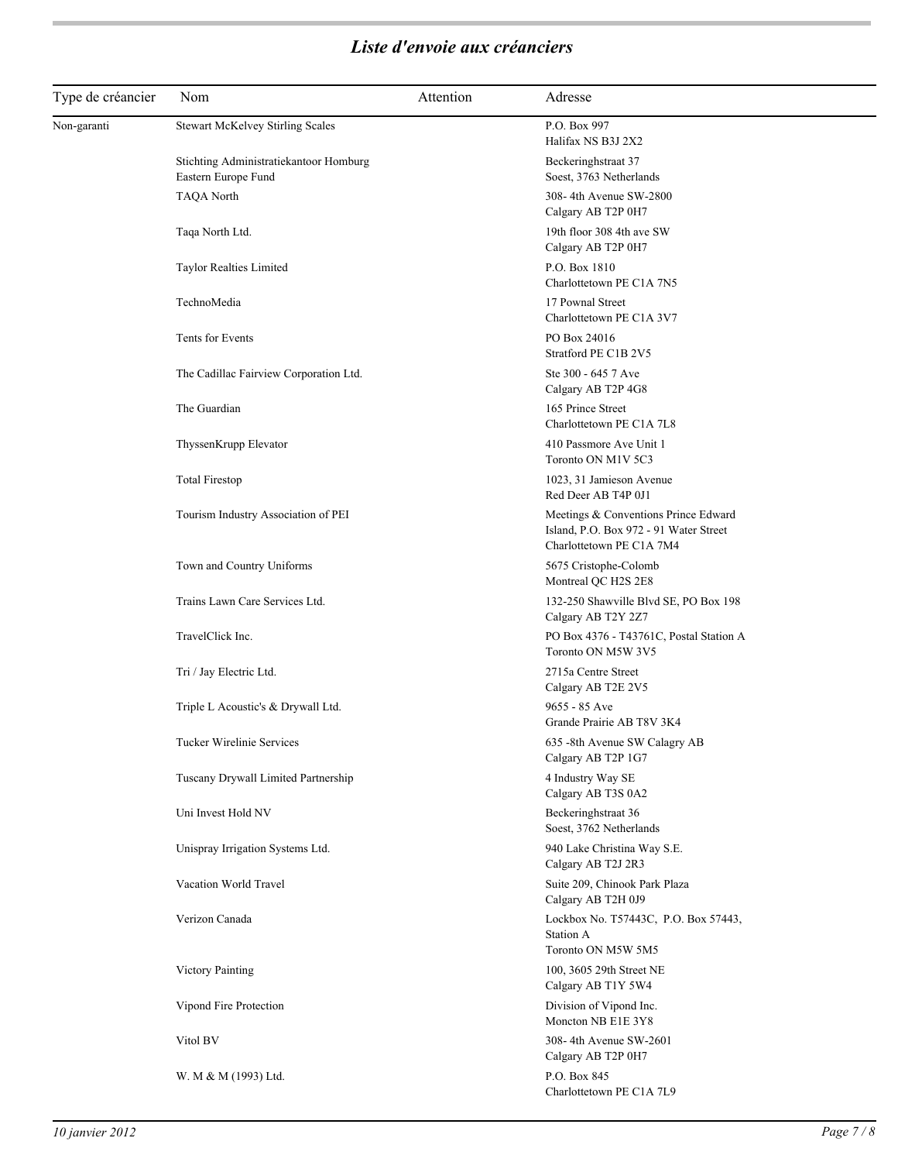| Type de créancier | Nom                                                           | Attention | Adresse                                                                                                    |
|-------------------|---------------------------------------------------------------|-----------|------------------------------------------------------------------------------------------------------------|
| Non-garanti       | Stewart McKelvey Stirling Scales                              |           | P.O. Box 997<br>Halifax NS B3J 2X2                                                                         |
|                   | Stichting Administratiekantoor Homburg<br>Eastern Europe Fund |           | Beckeringhstraat 37<br>Soest, 3763 Netherlands                                                             |
|                   | <b>TAQA North</b>                                             |           | 308-4th Avenue SW-2800<br>Calgary AB T2P 0H7                                                               |
|                   | Taqa North Ltd.                                               |           | 19th floor 308 4th ave SW<br>Calgary AB T2P 0H7                                                            |
|                   | Taylor Realties Limited                                       |           | P.O. Box 1810<br>Charlottetown PE C1A 7N5                                                                  |
|                   | TechnoMedia                                                   |           | 17 Pownal Street<br>Charlottetown PE C1A 3V7                                                               |
|                   | Tents for Events                                              |           | PO Box 24016<br>Stratford PE C1B 2V5                                                                       |
|                   | The Cadillac Fairview Corporation Ltd.                        |           | Ste 300 - 645 7 Ave<br>Calgary AB T2P 4G8                                                                  |
|                   | The Guardian                                                  |           | 165 Prince Street<br>Charlottetown PE C1A 7L8                                                              |
|                   | ThyssenKrupp Elevator                                         |           | 410 Passmore Ave Unit 1<br>Toronto ON M1V 5C3                                                              |
|                   | <b>Total Firestop</b>                                         |           | 1023, 31 Jamieson Avenue<br>Red Deer AB T4P 0J1                                                            |
|                   | Tourism Industry Association of PEI                           |           | Meetings & Conventions Prince Edward<br>Island, P.O. Box 972 - 91 Water Street<br>Charlottetown PE C1A 7M4 |
|                   | Town and Country Uniforms                                     |           | 5675 Cristophe-Colomb<br>Montreal QC H2S 2E8                                                               |
|                   | Trains Lawn Care Services Ltd.                                |           | 132-250 Shawville Blvd SE, PO Box 198<br>Calgary AB T2Y 2Z7                                                |
|                   | TravelClick Inc.                                              |           | PO Box 4376 - T43761C, Postal Station A<br>Toronto ON M5W 3V5                                              |
|                   | Tri / Jay Electric Ltd.                                       |           | 2715a Centre Street<br>Calgary AB T2E 2V5                                                                  |
|                   | Triple L Acoustic's & Drywall Ltd.                            |           | 9655 - 85 Ave<br>Grande Prairie AB T8V 3K4                                                                 |
|                   | Tucker Wirelinie Services                                     |           | 635 -8th Avenue SW Calagry AB<br>Calgary AB T2P 1G7                                                        |
|                   | Tuscany Drywall Limited Partnership                           |           | 4 Industry Way SE<br>Calgary AB T3S 0A2                                                                    |
|                   | Uni Invest Hold NV                                            |           | Beckeringhstraat 36<br>Soest, 3762 Netherlands                                                             |
|                   | Unispray Irrigation Systems Ltd.                              |           | 940 Lake Christina Way S.E.<br>Calgary AB T2J 2R3                                                          |
|                   | Vacation World Travel                                         |           | Suite 209, Chinook Park Plaza<br>Calgary AB T2H 0J9                                                        |
|                   | Verizon Canada                                                |           | Lockbox No. T57443C, P.O. Box 57443,<br><b>Station A</b><br>Toronto ON M5W 5M5                             |
|                   | <b>Victory Painting</b>                                       |           | 100, 3605 29th Street NE<br>Calgary AB T1Y 5W4                                                             |
|                   | Vipond Fire Protection                                        |           | Division of Vipond Inc.<br>Moncton NB E1E 3Y8                                                              |
|                   | Vitol BV                                                      |           | 308-4th Avenue SW-2601<br>Calgary AB T2P 0H7                                                               |
|                   | W. M & M (1993) Ltd.                                          |           | P.O. Box 845<br>Charlottetown PE C1A 7L9                                                                   |